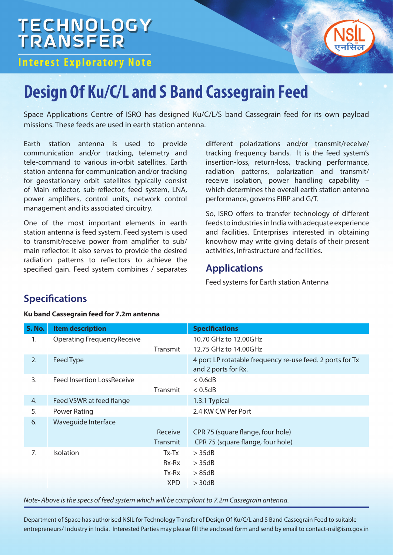# **TECHNOLOGY**<br>TRANSFER

## **Interest Exploratory Note**



# **Design Of Ku/C/L and S Band Cassegrain Feed**

Space Applications Centre of ISRO has designed Ku/C/L/S band Cassegrain feed for its own payload missions. These feeds are used in earth station antenna.

Earth station antenna is used to provide communication and/or tracking, telemetry and tele-command to various in-orbit satellites. Earth station antenna for communication and/or tracking for geostationary orbit satellites typically consist of Main reflector, sub-reflector, feed system, LNA, power amplifiers, control units, network control management and its associated circuitry.

One of the most important elements in earth station antenna is feed system. Feed system is used to transmit/receive power from amplifier to sub/ main reflector. It also serves to provide the desired radiation patterns to reflectors to achieve the specified gain. Feed system combines / separates

different polarizations and/or transmit/receive/ tracking frequency bands. It is the feed system's insertion-loss, return-loss, tracking performance, radiation patterns, polarization and transmit/ receive isolation, power handling capability – which determines the overall earth station antenna performance, governs EIRP and G/T.

So, ISRO offers to transfer technology of different feeds to industries in India with adequate experience and facilities. Enterprises interested in obtaining knowhow may write giving details of their present activities, infrastructure and facilities.

### **Applications**

Feed systems for Earth station Antenna

## **Specifications**

#### **Ku band Cassegrain feed for 7.2m antenna**

| <b>S. No.</b> | <b>Item description</b>           |                 | <b>Specifications</b>                                                            |
|---------------|-----------------------------------|-----------------|----------------------------------------------------------------------------------|
| 1.            | <b>Operating FrequencyReceive</b> |                 | 10.70 GHz to 12.00GHz                                                            |
|               |                                   | <b>Transmit</b> | 12.75 GHz to 14.00GHz                                                            |
| 2.            | Feed Type                         |                 | 4 port LP rotatable frequency re-use feed. 2 ports for Tx<br>and 2 ports for Rx. |
| 3.            | <b>Feed Insertion LossReceive</b> |                 | < 0.6 dB                                                                         |
|               |                                   | Transmit        | < 0.5dB                                                                          |
| 4.            | Feed VSWR at feed flange          |                 | 1.3:1 Typical                                                                    |
| 5.            | <b>Power Rating</b>               |                 | 2.4 KW CW Per Port                                                               |
| 6.            | Waveguide Interface               |                 |                                                                                  |
|               |                                   | Receive         | CPR 75 (square flange, four hole)                                                |
|               |                                   | Transmit        | CPR 75 (square flange, four hole)                                                |
| 7.            | <b>Isolation</b>                  | Tx-Tx           | $>$ 35dB                                                                         |
|               |                                   | $Rx-Rx$         | $>$ 35dB                                                                         |
|               |                                   | Tx-Rx           | >85dB                                                                            |
|               |                                   | <b>XPD</b>      | $>$ 30dB                                                                         |

Note- Above is the specs of feed system which will be compliant to 7.2m Cassegrain antenna.

Department of Space has authorised NSIL for Technology Transfer of Design Of Ku/C/L and S Band Cassegrain Feed to suitable entrepreneurs/ Industry in India. Interested Parties may please fill the enclosed form and send by email to contact-nsil@isro.gov.in